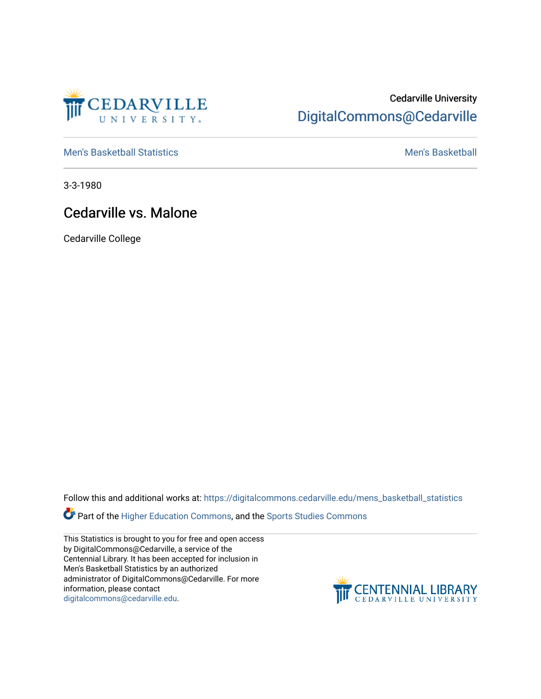

## Cedarville University [DigitalCommons@Cedarville](https://digitalcommons.cedarville.edu/)

[Men's Basketball Statistics](https://digitalcommons.cedarville.edu/mens_basketball_statistics) [Men's Basketball](https://digitalcommons.cedarville.edu/mens_basketball) 

3-3-1980

## Cedarville vs. Malone

Cedarville College

Follow this and additional works at: [https://digitalcommons.cedarville.edu/mens\\_basketball\\_statistics](https://digitalcommons.cedarville.edu/mens_basketball_statistics?utm_source=digitalcommons.cedarville.edu%2Fmens_basketball_statistics%2F302&utm_medium=PDF&utm_campaign=PDFCoverPages) 

Part of the [Higher Education Commons,](http://network.bepress.com/hgg/discipline/1245?utm_source=digitalcommons.cedarville.edu%2Fmens_basketball_statistics%2F302&utm_medium=PDF&utm_campaign=PDFCoverPages) and the Sports Studies Commons

This Statistics is brought to you for free and open access by DigitalCommons@Cedarville, a service of the Centennial Library. It has been accepted for inclusion in Men's Basketball Statistics by an authorized administrator of DigitalCommons@Cedarville. For more information, please contact [digitalcommons@cedarville.edu](mailto:digitalcommons@cedarville.edu).